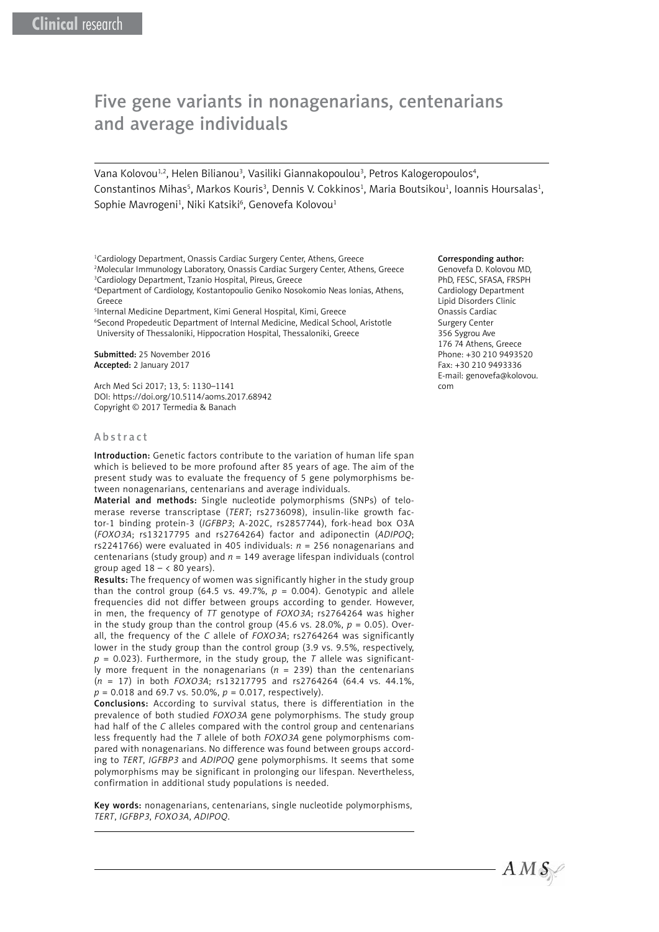# Five gene variants in nonagenarians, centenarians and average individuals

Vana Kolovou<sup>1,2</sup>, Helen Bilianou<sup>3</sup>, Vasiliki Giannakopoulou<sup>3</sup>, Petros Kalogeropoulos<sup>4</sup>, Constantinos Mihas<sup>5</sup>, Markos Kouris<sup>3</sup>, Dennis V. Cokkinos<sup>1</sup>, Maria Boutsikou<sup>1</sup>, Ioannis Hoursalas<sup>1</sup>, Sophie Mavrogeni<sup>1</sup>, Niki Katsiki<sup>6</sup>, Genovefa Kolovou<sup>1</sup>

1 Cardiology Department, Onassis Cardiac Surgery Center, Athens, Greece 2 Molecular Immunology Laboratory, Onassis Cardiac Surgery Center, Athens, Greece 3 Cardiology Department, Tzanio Hospital, Pireus, Greece

4 Department of Cardiology, Kostantopoulio Geniko Nosokomio Neas Ionias, Athens, Greece

5 Internal Medicine Department, Kimi General Hospital, Kimi, Greece

6 Second Propedeutic Department of Internal Medicine, Medical School, Aristotle University of Thessaloniki, Hippocration Hospital, Thessaloniki, Greece

Submitted: 25 November 2016 Accepted: 2 January 2017

Arch Med Sci 2017; 13, 5: 1130–1141 DOI: https://doi.org/10.5114/aoms.2017.68942 Copyright © 2017 Termedia & Banach

#### **Abstract**

Introduction: Genetic factors contribute to the variation of human life span which is believed to be more profound after 85 years of age. The aim of the present study was to evaluate the frequency of 5 gene polymorphisms between nonagenarians, centenarians and average individuals.

Material and methods: Single nucleotide polymorphisms (SNPs) of telomerase reverse transcriptase (*TERT*; rs2736098), insulin-like growth factor-1 binding protein-3 (*IGFBP3*; A-202C, rs2857744), fork-head box O3A (*FOXO3A*; rs13217795 and rs2764264) factor and adiponectin (*ADIPOQ*; rs2241766) were evaluated in 405 individuals:  $n = 256$  nonagenarians and centenarians (study group) and *n* = 149 average lifespan individuals (control group aged  $18 - < 80$  years).

Results: The frequency of women was significantly higher in the study group than the control group (64.5 vs. 49.7%,  $p = 0.004$ ). Genotypic and allele frequencies did not differ between groups according to gender. However, in men, the frequency of *TT* genotype of *FOXO3A*; rs2764264 was higher in the study group than the control group  $(45.6 \text{ vs. } 28.0\% , p = 0.05)$ . Overall, the frequency of the *C* allele of *FOXO3A*; rs2764264 was significantly lower in the study group than the control group (3.9 vs. 9.5%, respectively,  $p = 0.023$ ). Furthermore, in the study group, the *T* allele was significantly more frequent in the nonagenarians (*n* = 239) than the centenarians (*n* = 17) in both *FOXO3A*; rs13217795 and rs2764264 (64.4 vs. 44.1%, *p* = 0.018 and 69.7 vs. 50.0%, *p* = 0.017, respectively).

Conclusions: According to survival status, there is differentiation in the prevalence of both studied *FOXO3A* gene polymorphisms. The study group had half of the *C* alleles compared with the control group and centenarians less frequently had the *T* allele of both *FOXO3A* gene polymorphisms compared with nonagenarians. No difference was found between groups according to *TERT*, *IGFBP3* and *ADIPOQ* gene polymorphisms. It seems that some polymorphisms may be significant in prolonging our lifespan. Nevertheless, confirmation in additional study populations is needed.

Key words: nonagenarians, centenarians, single nucleotide polymorphisms, *TERT*, *IGFBP3*, *FOXO3A*, *ADIPOQ*.

#### Corresponding author:

Genovefa D. Kolovou MD, PhD, FESC, SFASA, FRSPH Cardiology Department Lipid Disorders Clinic Onassis Cardiac Surgery Center 356 Sygrou Ave 176 74 Athens, Greece Phone: +30 210 9493520 Fax: +30 210 9493336 E-mail: [genovefa@kolovou.](mailto:genovefa@kolovou.com) [com](mailto:genovefa@kolovou.com)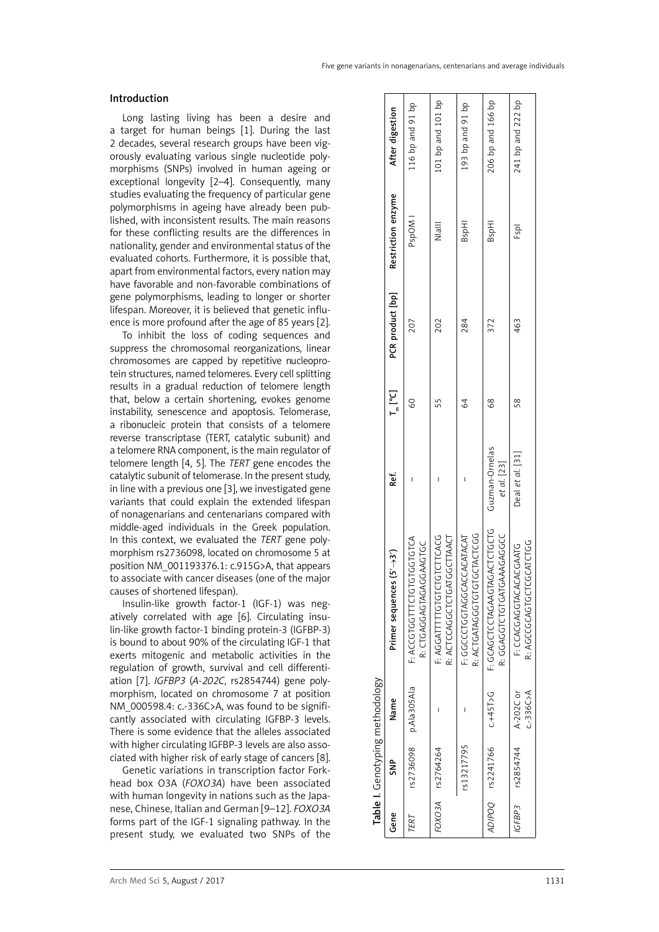## Introduction

Long lasting living has been a desire and a target for human beings [1]. During the last 2 decades, several research groups have been vigorously evaluating various single nucleotide polymorphisms (SNPs) involved in human ageing or exceptional longevity [2–4]. Consequently, many studies evaluating the frequency of particular gene polymorphisms in ageing have already been published, with inconsistent results. The main reasons for these conflicting results are the differences in nationality, gender and environmental status of the evaluated cohorts. Furthermore, it is possible that, apart from environmental factors, every nation may have favorable and non-favorable combinations of gene polymorphisms, leading to longer or shorter lifespan. Moreover, it is believed that genetic influence is more profound after the age of 85 years [2].

To inhibit the loss of coding sequences and suppress the chromosomal reorganizations, linear chromosomes are capped by repetitive nucleoprotein structures, named telomeres. Every cell splitting results in a gradual reduction of telomere length that, below a certain shortening, evokes genome instability, senescence and apoptosis. Telomerase, a ribonucleic protein that consists of a telomere reverse transcriptase (TERT, catalytic subunit) and a telomere RNA component, is the main regulator of telomere length [4, 5]. The *TERT* gene encodes the catalytic subunit of telomerase. In the present study, in line with a previous one [3], we investigated gene variants that could explain the extended lifespan of nonagenarians and centenarians compared with middle-aged individuals in the Greek population. In this context, we evaluated the *TERT* gene polymorphism rs2736098, located on chromosome 5 at position NM\_001193376.1: c.915G>A, that appears to associate with cancer diseases (one of the major causes of shortened lifespan).

Insulin-like growth factor-1 (IGF-1) was negatively correlated with age [6]. Circulating insulin-like growth factor-1 binding protein-3 (IGFBP-3) is bound to about 90% of the circulating IGF-1 that exerts mitogenic and metabolic activities in the regulation of growth, survival and cell differentiation [7]. *IGFBP3* (*A-202C*, rs2854744) gene polymorphism, located on chromosome 7 at position NM\_000598.4: c.-336C>A, was found to be significantly associated with circulating IGFBP-3 levels. There is some evidence that the alleles associated with higher circulating IGFBP-3 levels are also associated with higher risk of early stage of cancers [8].

Genetic variations in transcription factor Forkhead box O3A (*FOXO3A*) have been associated with human longevity in nations such as the Japanese, Chinese, Italian and German [9–12]. *FOXO3A*  forms part of the IGF-1 signaling pathway. In the present study, we evaluated two SNPs of the

|      |                  | Table I. Genotyping methodology |                                                          |                               |         |                  |                    |                   |
|------|------------------|---------------------------------|----------------------------------------------------------|-------------------------------|---------|------------------|--------------------|-------------------|
| Gene | SNP              | Name                            | Primer sequences $(5' \rightarrow 3')$                   | Ref.                          | ב"<br>ב | PCR product [bp] | Restriction enzyme | After digestion   |
| FERT |                  | rs2736098 p.Ala305Ala           | YOLOLOLOLOLULLUOLOUUY ii<br>R: CTGAGGAGGAGGAGTGC         |                               | SO      | 207              | PspOM              | 116 bp and 91 bp  |
|      | FOXO3A rs2764264 |                                 | R: ACTCCAGGCTCTGATGGTTAACT<br>GUAULULULULULULLILIAUUK :i |                               | 55      | 202              | $\frac{1}{2}$      | 101 bp and 101 bp |
|      | rs13217795       |                                 | R: ACTGATAGGTGTGTGTACTCG<br>F: GGCCCOGGTAGGTACATAT       |                               | 84      | 284              | BspHI              | 193 bp and 91 bp  |
|      | ADIPOQ rs2241766 | $C + 45T > G$                   | F: GCAGAGAGIOULUGCIO<br>R: GGAGAACTOTOTOHAAGGC           | Guzman-Ornelas<br>et al. [23] | 89      | 372              | BspHI              | 206 bp and 166 bp |
|      | GFBP3 rs2854744  | $C - 336C$ >A<br>A-202C or      | R: AGCGCAGTGCICGCATCTGG<br>E: CAUAUAUALUUNUU : L         | Deal et al. [31]              | S8      | 463              | Fspl               | 241 bp and 222 bp |
|      |                  |                                 |                                                          |                               |         |                  |                    |                   |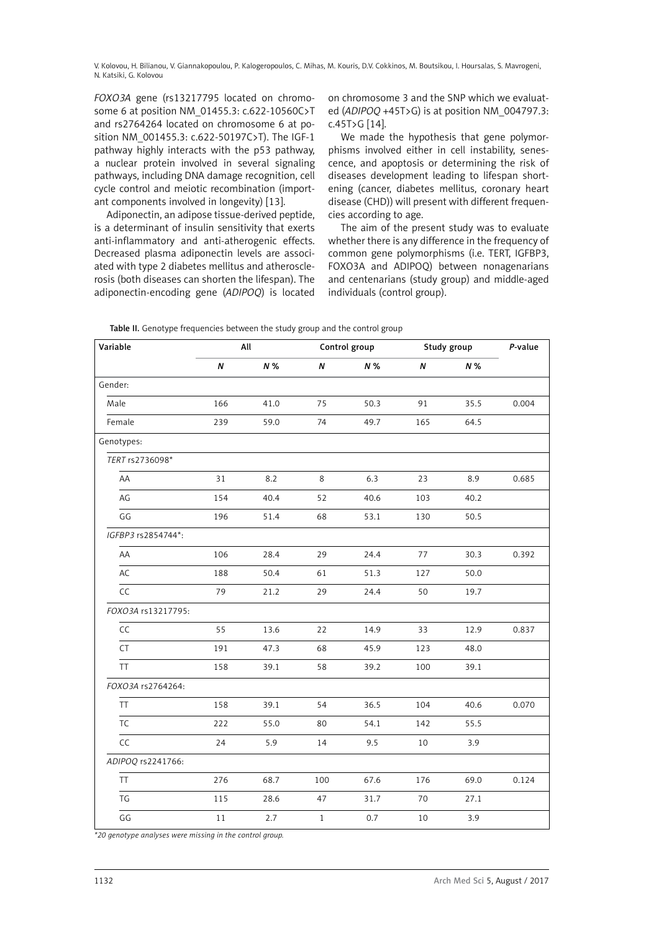*FOXO3A* gene (rs13217795 located on chromosome 6 at position NM\_01455.3: c.622-10560C>T and rs2764264 located on chromosome 6 at position NM\_001455.3: c.622-50197C>T). The IGF-1 pathway highly interacts with the p53 pathway, a nuclear protein involved in several signaling pathways, including DNA damage recognition, cell cycle control and meiotic recombination (important components involved in longevity) [13].

Adiponectin, an adipose tissue-derived peptide, is a determinant of insulin sensitivity that exerts anti-inflammatory and anti-atherogenic effects. Decreased plasma adiponectin levels are associated with type 2 diabetes mellitus and atherosclerosis (both diseases can shorten the lifespan). The adiponectin-encoding gene (*ADIPOQ*) is located

on chromosome 3 and the SNP which we evaluated (*ADIPOQ* +45T>G) is at position NM\_004797.3: c.45T>G [14].

We made the hypothesis that gene polymorphisms involved either in cell instability, senescence, and apoptosis or determining the risk of diseases development leading to lifespan shortening (cancer, diabetes mellitus, coronary heart disease (CHD)) will present with different frequencies according to age.

The aim of the present study was to evaluate whether there is any difference in the frequency of common gene polymorphisms (i.e. TERT, IGFBP3, FOXO3A and ADIPOQ) between nonagenarians and centenarians (study group) and middle-aged individuals (control group).

| Variable           |        | All  |       | Control group |      | Study group | P-value |
|--------------------|--------|------|-------|---------------|------|-------------|---------|
|                    | N      | N %  | N     | N %           | Ν    | $N\%$       |         |
| Gender:            |        |      |       |               |      |             |         |
| Male               | 166    | 41.0 | 75    | 50.3          | 91   | 35.5        | 0.004   |
| Female             | 239    | 59.0 | 74    | 49.7          | 165  | 64.5        |         |
| Genotypes:         |        |      |       |               |      |             |         |
| TERT rs2736098*    |        |      |       |               |      |             |         |
| AA                 | 31     | 8.2  | 8     | 6.3           | 23   | 8.9         | 0.685   |
| AG                 | 154    | 40.4 | 52    | 40.6          | 103  | 40.2        |         |
| GG                 | 196    | 51.4 | 68    | 53.1          | 130  | 50.5        |         |
| IGFBP3 rs2854744*: |        |      |       |               |      |             |         |
| AA                 | 106    | 28.4 | 29    | 24.4          | 77   | 30.3        | 0.392   |
| AC                 | 188    | 50.4 | 61    | 51.3          | 127  | 50.0        |         |
| CC                 | 79     | 21.2 | 29    | 24.4          | 50   | 19.7        |         |
| FOXO3A rs13217795: |        |      |       |               |      |             |         |
| CC                 | 55     | 13.6 | 22    | 14.9          | 33   | 12.9        | 0.837   |
| CT                 | 191    | 47.3 | 68    | 45.9          | 123  | 48.0        |         |
| TT                 | 158    | 39.1 | 58    | 39.2          | 100  | 39.1        |         |
| FOXO3A rs2764264:  |        |      |       |               |      |             |         |
| <b>TT</b>          | 158    | 39.1 | 54    | 36.5          | 104  | 40.6        | 0.070   |
| <b>TC</b>          | 222    | 55.0 | 80    | 54.1          | 142  | 55.5        |         |
| CC                 | 24     | 5.9  | 14    | 9.5           | 10   | 3.9         |         |
| ADIPOQ rs2241766:  |        |      |       |               |      |             |         |
| TT                 | 276    | 68.7 | 100   | 67.6          | 176  | 69.0        | 0.124   |
| TG                 | 115    | 28.6 | 47    | 31.7          | 70   | 27.1        |         |
| GG                 | $1\,1$ | 2.7  | $\,1$ | 0.7           | $10$ | 3.9         |         |

Table II. Genotype frequencies between the study group and the control group

*\*20 genotype analyses were missing in the control group.*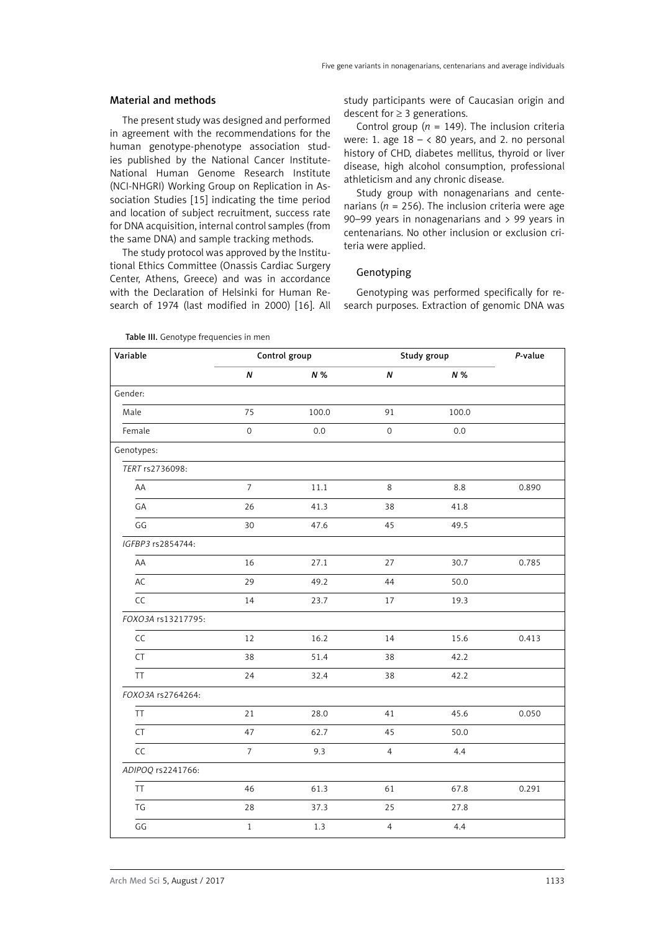#### Material and methods

The present study was designed and performed in agreement with the recommendations for the human genotype-phenotype association studies published by the National Cancer Institute-National Human Genome Research Institute (NCI-NHGRI) Working Group on Replication in Association Studies [15] indicating the time period and location of subject recruitment, success rate for DNA acquisition, internal control samples (from the same DNA) and sample tracking methods.

The study protocol was approved by the Institutional Ethics Committee (Onassis Cardiac Surgery Center, Athens, Greece) and was in accordance with the Declaration of Helsinki for Human Research of 1974 (last modified in 2000) [16]. All study participants were of Caucasian origin and descent for  $\geq$  3 generations.

Control group ( $n = 149$ ). The inclusion criteria were: 1. age  $18 - < 80$  years, and 2. no personal history of CHD, diabetes mellitus, thyroid or liver disease, high alcohol consumption, professional athleticism and any chronic disease.

Study group with nonagenarians and centenarians ( $n = 256$ ). The inclusion criteria were age 90–99 years in nonagenarians and > 99 years in centenarians. No other inclusion or exclusion criteria were applied.

# Genotyping

Genotyping was performed specifically for research purposes. Extraction of genomic DNA was

| Variable           |                | Control group |                     | Study group | P-value |
|--------------------|----------------|---------------|---------------------|-------------|---------|
|                    | $\pmb N$       | N %           | N                   | N %         |         |
| Gender:            |                |               |                     |             |         |
| Male               | 75             | 100.0         | 91                  | 100.0       |         |
| Female             | $\mathbf 0$    | 0.0           | $\mathsf{O}\xspace$ | 0.0         |         |
| Genotypes:         |                |               |                     |             |         |
| TERT rs2736098:    |                |               |                     |             |         |
| AA                 | $\overline{7}$ | 11.1          | 8                   | 8.8         | 0.890   |
| GA                 | 26             | 41.3          | 38                  | 41.8        |         |
| GG                 | 30             | 47.6          | 45                  | 49.5        |         |
| IGFBP3 rs2854744:  |                |               |                     |             |         |
| AA                 | 16             | 27.1          | 27                  | 30.7        | 0.785   |
| AC                 | 29             | 49.2          | 44                  | 50.0        |         |
| CC                 | 14             | 23.7          | $17\,$              | 19.3        |         |
| FOXO3A rs13217795: |                |               |                     |             |         |
| CC                 | 12             | 16.2          | 14                  | 15.6        | 0.413   |
| CT                 | 38             | 51.4          | 38                  | 42.2        |         |
| <b>TT</b>          | 24             | 32.4          | 38                  | 42.2        |         |
| FOXO3A rs2764264:  |                |               |                     |             |         |
| TT                 | 21             | 28.0          | 41                  | 45.6        | 0.050   |
| CT                 | 47             | 62.7          | 45                  | 50.0        |         |
| CC                 | $\overline{7}$ | 9.3           | 4                   | 4.4         |         |
| ADIPOQ rs2241766:  |                |               |                     |             |         |
| TT                 | 46             | 61.3          | 61                  | 67.8        | 0.291   |
| TG                 | 28             | 37.3          | 25                  | 27.8        |         |
| GG                 | $\,1$          | $1.3\,$       | $\overline{4}$      | 4.4         |         |

Table III. Genotype frequencies in men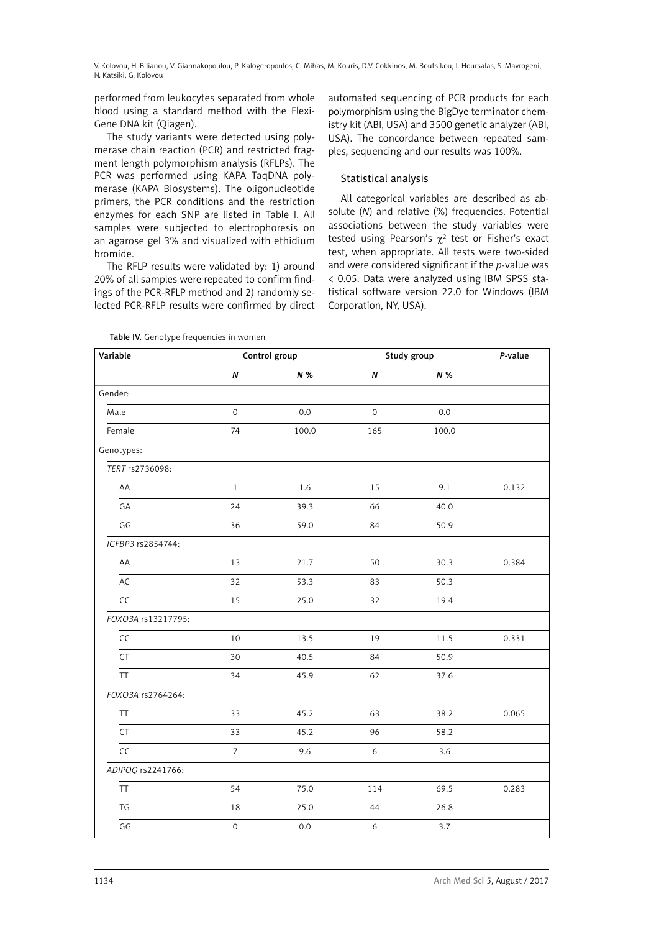performed from leukocytes separated from whole blood using a standard method with the Flexi-Gene DNA kit (Qiagen).

The study variants were detected using polymerase chain reaction (PCR) and restricted fragment length polymorphism analysis (RFLPs). The PCR was performed using KAPA TaqDNA polymerase (KAPA Biosystems). The oligonucleotide primers, the PCR conditions and the restriction enzymes for each SNP are listed in Table I. All samples were subjected to electrophoresis on an agarose gel 3% and visualized with ethidium bromide.

The RFLP results were validated by: 1) around 20% of all samples were repeated to confirm findings of the PCR-RFLP method and 2) randomly selected PCR-RFLP results were confirmed by direct automated sequencing of PCR products for each polymorphism using the BigDye terminator chemistry kit (ABI, USA) and 3500 genetic analyzer (ABI, USA). The concordance between repeated samples, sequencing and our results was 100%.

# Statistical analysis

All categorical variables are described as absolute (*N*) and relative (%) frequencies. Potential associations between the study variables were tested using Pearson's  $\chi^2$  test or Fisher's exact test, when appropriate. All tests were two-sided and were considered significant if the *p*-value was < 0.05. Data were analyzed using IBM SPSS statistical software version 22.0 for Windows (IBM Corporation, NY, USA).

Table IV. Genotype frequencies in women

| Variable           |                     | Control group |                     | Study group | P-value |
|--------------------|---------------------|---------------|---------------------|-------------|---------|
|                    | $\pmb N$            | N %           | N                   | $N\%$       |         |
| Gender:            |                     |               |                     |             |         |
| Male               | $\mathsf{O}\xspace$ | 0.0           | $\mathsf{O}\xspace$ | 0.0         |         |
| Female             | 74                  | 100.0         | 165                 | 100.0       |         |
| Genotypes:         |                     |               |                     |             |         |
| TERT rs2736098:    |                     |               |                     |             |         |
| AA                 | $\mathbf{1}$        | 1.6           | 15                  | 9.1         | 0.132   |
| GA                 | 24                  | 39.3          | 66                  | 40.0        |         |
| GG                 | 36                  | 59.0          | 84                  | 50.9        |         |
| IGFBP3 rs2854744:  |                     |               |                     |             |         |
| AA                 | 13                  | 21.7          | 50                  | 30.3        | 0.384   |
| AC                 | 32                  | 53.3          | 83                  | 50.3        |         |
| CC                 | 15                  | 25.0          | 32                  | 19.4        |         |
| FOXO3A rs13217795: |                     |               |                     |             |         |
| CC                 | 10                  | 13.5          | 19                  | 11.5        | 0.331   |
| CT                 | 30                  | 40.5          | 84                  | 50.9        |         |
| <b>TT</b>          | 34                  | 45.9          | 62                  | 37.6        |         |
| FOXO3A rs2764264:  |                     |               |                     |             |         |
| <b>TT</b>          | 33                  | 45.2          | 63                  | 38.2        | 0.065   |
| <b>CT</b>          | 33                  | 45.2          | 96                  | 58.2        |         |
| CC                 | $\overline{7}$      | 9.6           | $\boldsymbol{6}$    | 3.6         |         |
| ADIPOQ rs2241766:  |                     |               |                     |             |         |
| <b>TT</b>          | 54                  | 75.0          | 114                 | 69.5        | 0.283   |
| TG                 | 18                  | 25.0          | 44                  | 26.8        |         |
| GG                 | $\mathbf 0$         | 0.0           | $\sqrt{6}$          | 3.7         |         |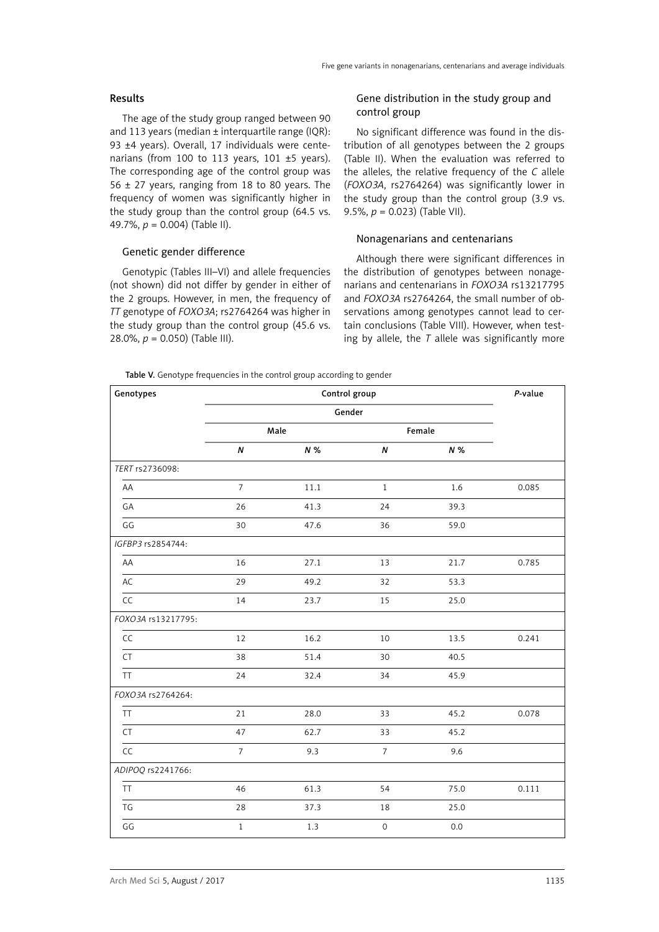### Results

The age of the study group ranged between 90 and 113 years (median  $\pm$  interquartile range (IQR): 93 ±4 years). Overall, 17 individuals were centenarians (from 100 to 113 years, 101 ±5 years). The corresponding age of the control group was  $56 \pm 27$  years, ranging from 18 to 80 years. The frequency of women was significantly higher in the study group than the control group (64.5 vs. 49.7%, *p* = 0.004) (Table II).

## Genetic gender difference

Genotypic (Tables III–VI) and allele frequencies (not shown) did not differ by gender in either of the 2 groups. However, in men, the frequency of *TT* genotype of *FOXO3A*; rs2764264 was higher in the study group than the control group (45.6 vs. 28.0%, *p* = 0.050) (Table III).

# Gene distribution in the study group and control group

No significant difference was found in the distribution of all genotypes between the 2 groups (Table II). When the evaluation was referred to the alleles, the relative frequency of the *C* allele (*FOXO3A*, rs2764264) was significantly lower in the study group than the control group (3.9 vs. 9.5%, *p* = 0.023) (Table VII).

#### Nonagenarians and centenarians

Although there were significant differences in the distribution of genotypes between nonagenarians and centenarians in *FOXO3A* rs13217795 and *FOXO3A* rs2764264, the small number of observations among genotypes cannot lead to certain conclusions (Table VIII). However, when testing by allele, the *T* allele was significantly more

Table V. Genotype frequencies in the control group according to gender

| Genotypes          |                  | P-value |                     |        |       |
|--------------------|------------------|---------|---------------------|--------|-------|
|                    |                  | Gender  |                     |        |       |
|                    |                  | Male    |                     | Female |       |
|                    | $\boldsymbol{N}$ | $N\%$   | N                   | $N\%$  |       |
| TERT rs2736098:    |                  |         |                     |        |       |
| AA                 | $\overline{7}$   | 11.1    | $\mathbf{1}$        | 1.6    | 0.085 |
| GA                 | 26               | 41.3    | 24                  | 39.3   |       |
| GG                 | 30               | 47.6    | 36                  | 59.0   |       |
| IGFBP3 rs2854744:  |                  |         |                     |        |       |
| AA                 | 16               | 27.1    | 13                  | 21.7   | 0.785 |
| AC                 | 29               | 49.2    | 32                  | 53.3   |       |
| CC                 | 14               | 23.7    | 15                  | 25.0   |       |
| FOXO3A rs13217795: |                  |         |                     |        |       |
| CC                 | 12               | 16.2    | 10                  | 13.5   | 0.241 |
| CT                 | 38               | 51.4    | 30                  | 40.5   |       |
| TT                 | 24               | 32.4    | 34                  | 45.9   |       |
| FOXO3A rs2764264:  |                  |         |                     |        |       |
| <b>TT</b>          | 21               | 28.0    | 33                  | 45.2   | 0.078 |
| <b>CT</b>          | 47               | 62.7    | 33                  | 45.2   |       |
| CC                 | $\overline{7}$   | 9.3     | $\overline{7}$      | 9.6    |       |
| ADIPOQ rs2241766:  |                  |         |                     |        |       |
| <b>TT</b>          | 46               | 61.3    | 54                  | 75.0   | 0.111 |
| TG                 | 28               | 37.3    | 18                  | 25.0   |       |
| GG                 | $\,1$            | 1.3     | $\mathsf{O}\xspace$ | 0.0    |       |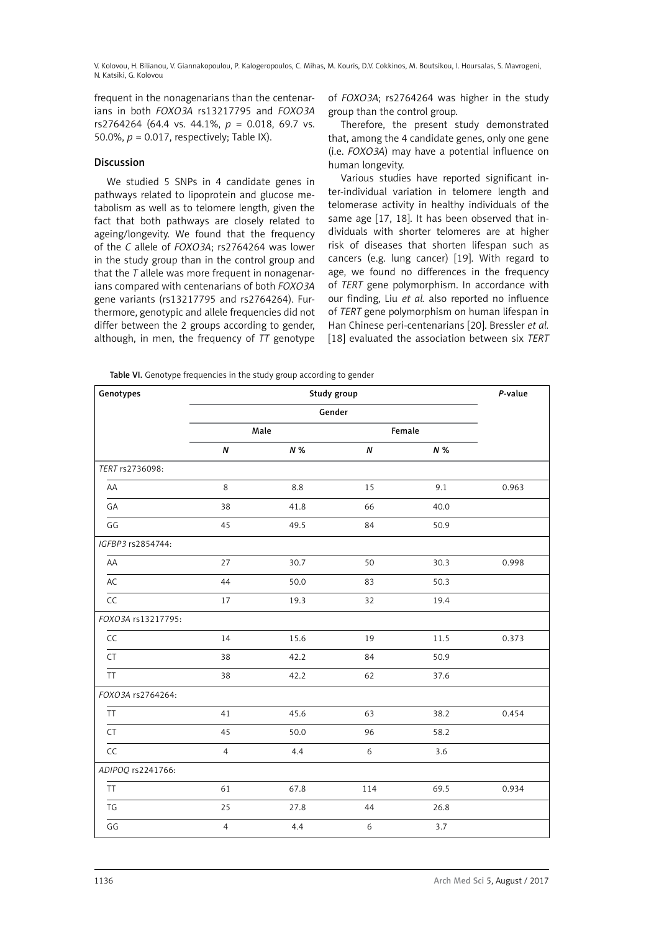frequent in the nonagenarians than the centenarians in both *FOXO3A* rs13217795 and *FOXO3A* rs2764264 (64.4 vs. 44.1%, *p* = 0.018, 69.7 vs. 50.0%,  $p = 0.017$ , respectively; Table IX).

## Discussion

We studied 5 SNPs in 4 candidate genes in pathways related to lipoprotein and glucose metabolism as well as to telomere length, given the fact that both pathways are closely related to ageing/longevity. We found that the frequency of the *C* allele of *FOXO3A*; rs2764264 was lower in the study group than in the control group and that the *T* allele was more frequent in nonagenarians compared with centenarians of both *FOXO3A* gene variants (rs13217795 and rs2764264). Furthermore, genotypic and allele frequencies did not differ between the 2 groups according to gender, although, in men, the frequency of *TT* genotype of *FOXO3A*; rs2764264 was higher in the study group than the control group.

Therefore, the present study demonstrated that, among the 4 candidate genes, only one gene (i.e. *FOXO3A*) may have a potential influence on human longevity.

Various studies have reported significant inter-individual variation in telomere length and telomerase activity in healthy individuals of the same age [17, 18]. It has been observed that individuals with shorter telomeres are at higher risk of diseases that shorten lifespan such as cancers (e.g. lung cancer) [19]. With regard to age, we found no differences in the frequency of *TERT* gene polymorphism. In accordance with our finding, Liu *et al.* also reported no influence of *TERT* gene polymorphism on human lifespan in Han Chinese peri-centenarians [20]. Bressler *et al.* [18] evaluated the association between six *TERT*

Table VI. Genotype frequencies in the study group according to gender

| Genotypes          |                | Study group |     |        |       |  |
|--------------------|----------------|-------------|-----|--------|-------|--|
|                    |                | Gender      |     |        |       |  |
|                    |                | Male        |     | Female |       |  |
|                    | $\pmb N$       | N %         | N   | $N\%$  |       |  |
| TERT rs2736098:    |                |             |     |        |       |  |
| AA                 | 8              | 8.8         | 15  | 9.1    | 0.963 |  |
| GA                 | 38             | 41.8        | 66  | 40.0   |       |  |
| GG                 | 45             | 49.5        | 84  | 50.9   |       |  |
| IGFBP3 rs2854744:  |                |             |     |        |       |  |
| AA                 | 27             | 30.7        | 50  | 30.3   | 0.998 |  |
| AC                 | 44             | 50.0        | 83  | 50.3   |       |  |
| CC                 | 17             | 19.3        | 32  | 19.4   |       |  |
| FOXO3A rs13217795: |                |             |     |        |       |  |
| CC                 | 14             | 15.6        | 19  | 11.5   | 0.373 |  |
| CT                 | 38             | 42.2        | 84  | 50.9   |       |  |
| <b>TT</b>          | 38             | 42.2        | 62  | 37.6   |       |  |
| FOXO3A rs2764264:  |                |             |     |        |       |  |
| <b>TT</b>          | 41             | 45.6        | 63  | 38.2   | 0.454 |  |
| <b>CT</b>          | 45             | 50.0        | 96  | 58.2   |       |  |
| CC                 | $\overline{4}$ | 4.4         | 6   | 3.6    |       |  |
| ADIPOQ rs2241766:  |                |             |     |        |       |  |
| <b>TT</b>          | 61             | 67.8        | 114 | 69.5   | 0.934 |  |
| TG                 | 25             | 27.8        | 44  | 26.8   |       |  |
| GG                 | $\overline{4}$ | 4.4         | 6   | 3.7    |       |  |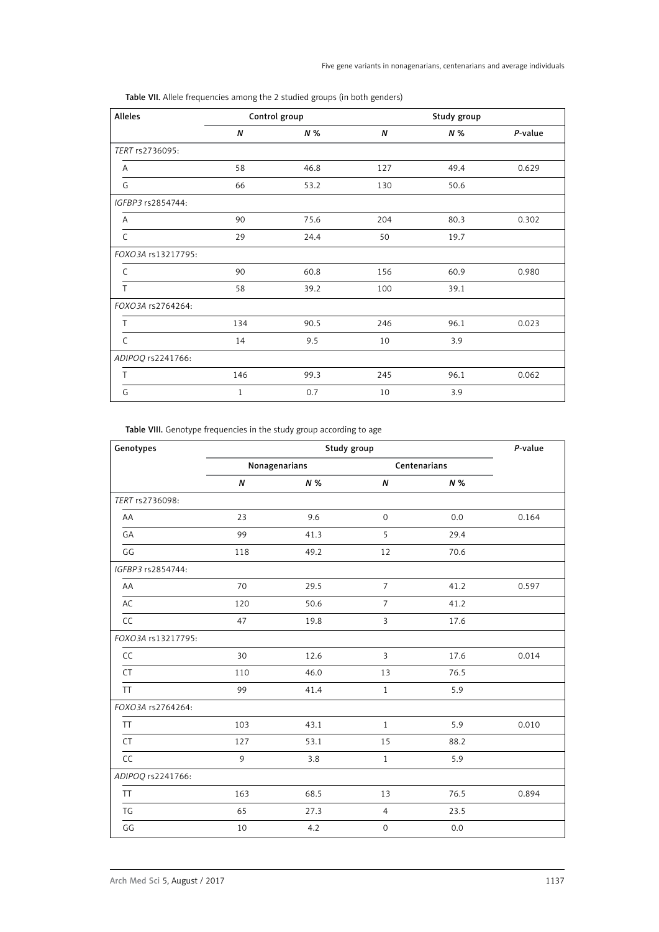| Alleles            |     | Control group |     | Study group |         |
|--------------------|-----|---------------|-----|-------------|---------|
|                    | N   | N %           | N   | N %         | P-value |
| TERT rs2736095:    |     |               |     |             |         |
| Α                  | 58  | 46.8          | 127 | 49.4        | 0.629   |
| G                  | 66  | 53.2          | 130 | 50.6        |         |
| IGFBP3 rs2854744:  |     |               |     |             |         |
| A                  | 90  | 75.6          | 204 | 80.3        | 0.302   |
| C                  | 29  | 24.4          | 50  | 19.7        |         |
| FOXO3A rs13217795: |     |               |     |             |         |
| $\mathsf{C}$       | 90  | 60.8          | 156 | 60.9        | 0.980   |
| T                  | 58  | 39.2          | 100 | 39.1        |         |
| FOXO3A rs2764264:  |     |               |     |             |         |
| Τ                  | 134 | 90.5          | 246 | 96.1        | 0.023   |
| $\mathsf{C}$       | 14  | 9.5           | 10  | 3.9         |         |
| ADIPOQ rs2241766:  |     |               |     |             |         |
| T                  | 146 | 99.3          | 245 | 96.1        | 0.062   |
| G                  | 1   | 0.7           | 10  | 3.9         |         |

Table VII. Allele frequencies among the 2 studied groups (in both genders)

Table VIII. Genotype frequencies in the study group according to age

| Genotypes          |                  | P-value       |                     |              |       |
|--------------------|------------------|---------------|---------------------|--------------|-------|
|                    |                  | Nonagenarians |                     | Centenarians |       |
|                    | $\boldsymbol{N}$ | N %           | N                   | N%           |       |
| TERT rs2736098:    |                  |               |                     |              |       |
| AA                 | 23               | 9.6           | $\mathsf{O}\xspace$ | 0.0          | 0.164 |
| GA                 | 99               | 41.3          | 5                   | 29.4         |       |
| GG                 | 118              | 49.2          | 12                  | 70.6         |       |
| IGFBP3 rs2854744:  |                  |               |                     |              |       |
| AA                 | 70               | 29.5          | $\overline{7}$      | 41.2         | 0.597 |
| AC                 | 120              | 50.6          | $\overline{7}$      | 41.2         |       |
| CC                 | 47               | 19.8          | $\overline{3}$      | 17.6         |       |
| FOXO3A rs13217795: |                  |               |                     |              |       |
| CC                 | 30               | 12.6          | $\overline{3}$      | 17.6         | 0.014 |
| CT                 | 110              | 46.0          | 13                  | 76.5         |       |
| <b>TT</b>          | 99               | 41.4          | $1\,$               | 5.9          |       |
| FOXO3A rs2764264:  |                  |               |                     |              |       |
| <b>TT</b>          | 103              | 43.1          | $\mathbf{1}$        | 5.9          | 0.010 |
| <b>CT</b>          | 127              | 53.1          | 15                  | 88.2         |       |
| CC                 | 9                | 3.8           | $\mathbf{1}$        | 5.9          |       |
| ADIPOQ rs2241766:  |                  |               |                     |              |       |
| <b>TT</b>          | 163              | 68.5          | 13                  | 76.5         | 0.894 |
| TG                 | 65               | 27.3          | $\overline{4}$      | 23.5         |       |
| GG                 | 10               | 4.2           | $\mathsf{O}\xspace$ | 0.0          |       |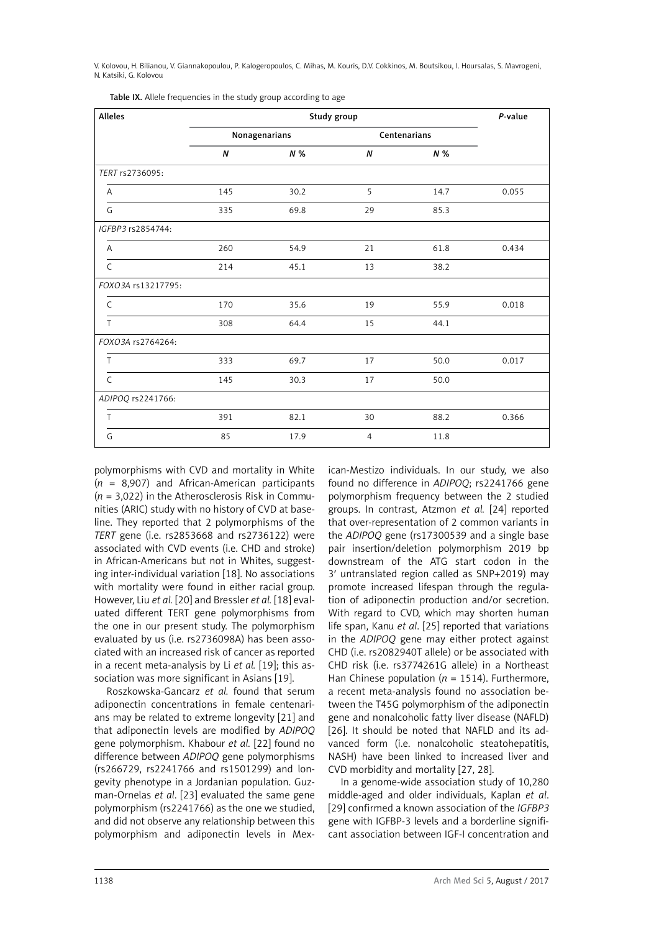| Alleles            |     | Study group   |                  |              | P-value |
|--------------------|-----|---------------|------------------|--------------|---------|
|                    |     | Nonagenarians |                  | Centenarians |         |
|                    | N   | N %           | $\boldsymbol{N}$ | N %          |         |
| TERT rs2736095:    |     |               |                  |              |         |
| Α                  | 145 | 30.2          | 5                | 14.7         | 0.055   |
| G                  | 335 | 69.8          | 29               | 85.3         |         |
| IGFBP3 rs2854744:  |     |               |                  |              |         |
| A                  | 260 | 54.9          | 21               | 61.8         | 0.434   |
| $\mathsf{C}$       | 214 | 45.1          | 13               | 38.2         |         |
| FOXO3A rs13217795: |     |               |                  |              |         |
| $\mathsf{C}$       | 170 | 35.6          | 19               | 55.9         | 0.018   |
| T                  | 308 | 64.4          | 15               | 44.1         |         |
| FOXO3A rs2764264:  |     |               |                  |              |         |
| T                  | 333 | 69.7          | 17               | 50.0         | 0.017   |
| $\mathsf{C}$       | 145 | 30.3          | 17               | 50.0         |         |
| ADIPOQ rs2241766:  |     |               |                  |              |         |
| T                  | 391 | 82.1          | 30               | 88.2         | 0.366   |
| G                  | 85  | 17.9          | $\overline{4}$   | 11.8         |         |

Table IX. Allele frequencies in the study group according to age

polymorphisms with CVD and mortality in White (*n* = 8,907) and African-American participants (*n* = 3,022) in the Atherosclerosis Risk in Communities (ARIC) study with no history of CVD at baseline. They reported that 2 polymorphisms of the *TERT* gene (i.e. rs2853668 and rs2736122) were associated with CVD events (i.e. CHD and stroke) in African-Americans but not in Whites, suggesting inter-individual variation [18]. No associations with mortality were found in either racial group. However, Liu *et al.* [20] and Bressler *et al.* [18] evaluated different TERT gene polymorphisms from the one in our present study. The polymorphism evaluated by us (i.e. rs2736098A) has been associated with an increased risk of cancer as reported in a recent meta-analysis by Li *et al.* [19]; this association was more significant in Asians [19].

Roszkowska-Gancarz *et al.* found that serum adiponectin concentrations in female centenarians may be related to extreme longevity [21] and that adiponectin levels are modified by *ADIPOQ* gene polymorphism. Khabour *et al.* [22] found no difference between *ADIPOQ* gene polymorphisms (rs266729, rs2241766 and rs1501299) and longevity phenotype in a Jordanian population. Guzman-Ornelas *et al*. [23] evaluated the same gene polymorphism (rs2241766) as the one we studied, and did not observe any relationship between this polymorphism and adiponectin levels in Mexican-Mestizo individuals. In our study, we also found no difference in *ADIPOQ*; rs2241766 gene polymorphism frequency between the 2 studied groups. In contrast, Atzmon *et al.* [24] reported that over-representation of 2 common variants in the *ADIPOQ* gene (rs17300539 and a single base pair insertion/deletion polymorphism 2019 bp downstream of the ATG start codon in the 3′ untranslated region called as SNP+2019) may promote increased lifespan through the regulation of adiponectin production and/or secretion. With regard to CVD, which may shorten human life span, Kanu *et al*. [25] reported that variations in the *ADIPOQ* gene may either protect against CHD (i.e. rs2082940T allele) or be associated with CHD risk (i.e. rs3774261G allele) in a Northeast Han Chinese population ( $n = 1514$ ). Furthermore, a recent meta-analysis found no association between the T45G polymorphism of the adiponectin gene and nonalcoholic fatty liver disease (NAFLD) [26]. It should be noted that NAFLD and its advanced form (i.e. nonalcoholic steatohepatitis, NASH) have been linked to increased liver and CVD morbidity and mortality [27, 28].

In a genome-wide association study of 10,280 middle-aged and older individuals, Kaplan *et al*. [29] confirmed a known association of the *IGFBP3* gene with IGFBP-3 levels and a borderline significant association between IGF-I concentration and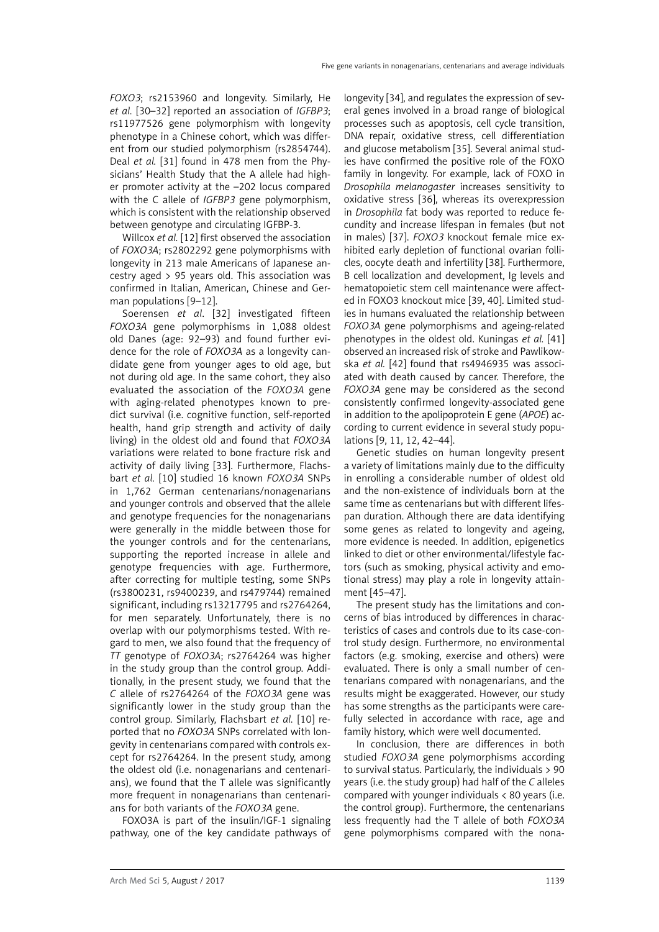*FOXO3*; rs2153960 and longevity. Similarly, He *et al.* [30–32] reported an association of *IGFBP3*; rs11977526 gene polymorphism with longevity phenotype in a Chinese cohort, which was different from our studied polymorphism (rs2854744). Deal *et al.* [31] found in 478 men from the Physicians' Health Study that the A allele had higher promoter activity at the –202 locus compared with the C allele of *IGFBP3* gene polymorphism, which is consistent with the relationship observed between genotype and circulating IGFBP-3.

Willcox *et al.* [12] first observed the association of *FOXO3A*; rs2802292 gene polymorphisms with longevity in 213 male Americans of Japanese ancestry aged > 95 years old. This association was confirmed in Italian, American, Chinese and German populations [9–12].

Soerensen *et al*. [32] investigated fifteen *FOXO3A* gene polymorphisms in 1,088 oldest old Danes (age: 92–93) and found further evidence for the role of *FOXO3A* as a longevity candidate gene from younger ages to old age, but not during old age. In the same cohort, they also evaluated the association of the *FOXO3A* gene with aging-related phenotypes known to predict survival (i.e. cognitive function, self-reported health, hand grip strength and activity of daily living) in the oldest old and found that *FOXO3A* variations were related to bone fracture risk and activity of daily living [33]. Furthermore, Flachsbart *et al.* [10] studied 16 known *FOXO3A* SNPs in 1,762 German centenarians/nonagenarians and younger controls and observed that the allele and genotype frequencies for the nonagenarians were generally in the middle between those for the younger controls and for the centenarians, supporting the reported increase in allele and genotype frequencies with age. Furthermore, after correcting for multiple testing, some SNPs (rs3800231, rs9400239, and rs479744) remained significant, including rs13217795 and rs2764264, for men separately. Unfortunately, there is no overlap with our polymorphisms tested. With regard to men, we also found that the frequency of *TT* genotype of *FOXO3A*; rs2764264 was higher in the study group than the control group. Additionally, in the present study, we found that the *C* allele of rs2764264 of the *FOXO3A* gene was significantly lower in the study group than the control group. Similarly, Flachsbart *et al.* [10] reported that no *FOXO3A* SNPs correlated with longevity in centenarians compared with controls except for rs2764264. In the present study, among the oldest old (i.e. nonagenarians and centenarians), we found that the T allele was significantly more frequent in nonagenarians than centenarians for both variants of the *FOXO3A* gene.

FOXO3A is part of the insulin/IGF-1 signaling pathway, one of the key candidate pathways of longevity [34], and regulates the expression of several genes involved in a broad range of biological processes such as apoptosis, cell cycle transition, DNA repair, oxidative stress, cell differentiation and glucose metabolism [35]. Several animal studies have confirmed the positive role of the FOXO family in longevity. For example, lack of FOXO in *Drosophila melanogaster* increases sensitivity to oxidative stress [36], whereas its overexpression in *Drosophila* fat body was reported to reduce fecundity and increase lifespan in females (but not in males) [37]. *FOXO3* knockout female mice exhibited early depletion of functional ovarian follicles, oocyte death and infertility [38]. Furthermore, B cell localization and development, Ig levels and hematopoietic stem cell maintenance were affected in FOXO3 knockout mice [39, 40]. Limited studies in humans evaluated the relationship between *FOXO3A* gene polymorphisms and ageing-related phenotypes in the oldest old. Kuningas *et al.* [41] observed an increased risk of stroke and Pawlikowska *et al.* [42] found that rs4946935 was associated with death caused by cancer. Therefore, the *FOXO3A* gene may be considered as the second consistently confirmed longevity-associated gene in addition to the apolipoprotein E gene (*APOE*) according to current evidence in several study populations [9, 11, 12, 42–44].

Genetic studies on human longevity present a variety of limitations mainly due to the difficulty in enrolling a considerable number of oldest old and the non-existence of individuals born at the same time as centenarians but with different lifespan duration. Although there are data identifying some genes as related to longevity and ageing, more evidence is needed. In addition, epigenetics linked to diet or other environmental/lifestyle factors (such as smoking, physical activity and emotional stress) may play a role in longevity attainment [45–47].

The present study has the limitations and concerns of bias introduced by differences in characteristics of cases and controls due to its case-control study design. Furthermore, no environmental factors (e.g. smoking, exercise and others) were evaluated. There is only a small number of centenarians compared with nonagenarians, and the results might be exaggerated. However, our study has some strengths as the participants were carefully selected in accordance with race, age and family history, which were well documented.

In conclusion, there are differences in both studied *FOXO3A* gene polymorphisms according to survival status. Particularly, the individuals > 90 years (i.e. the study group) had half of the *C* alleles compared with younger individuals < 80 years (i.e. the control group). Furthermore, the centenarians less frequently had the T allele of both *FOXO3A* gene polymorphisms compared with the nona-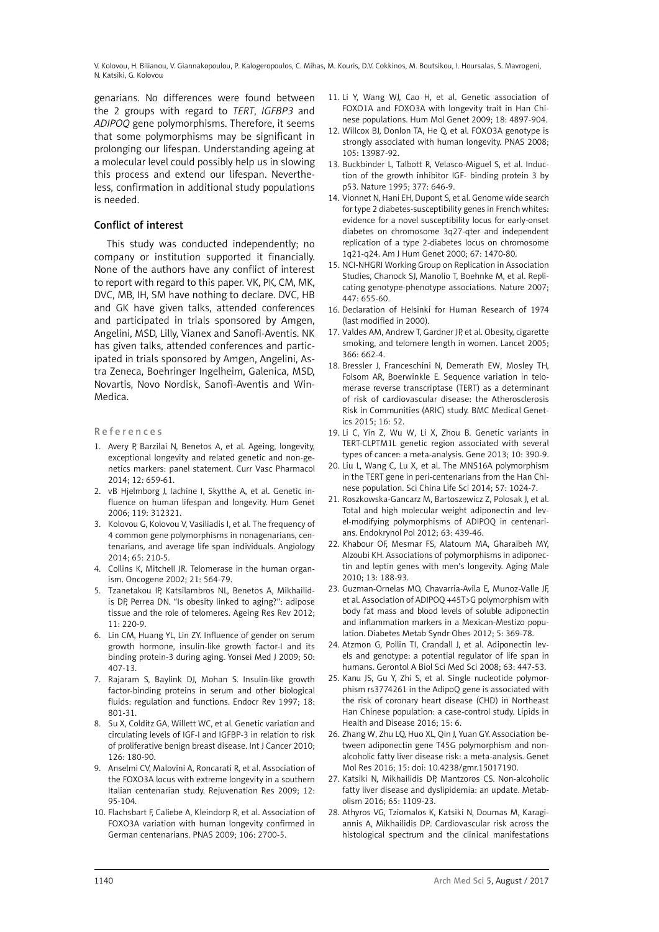genarians. No differences were found between the 2 groups with regard to *TERT*, *IGFBP3* and *ADIPOQ* gene polymorphisms. Therefore, it seems that some polymorphisms may be significant in prolonging our lifespan. Understanding ageing at a molecular level could possibly help us in slowing this process and extend our lifespan. Nevertheless, confirmation in additional study populations is needed.

# Conflict of interest

This study was conducted independently; no company or institution supported it financially. None of the authors have any conflict of interest to report with regard to this paper. VK, PK, CM, MK, DVC, MB, IH, SM have nothing to declare. DVC, HB and GK have given talks, attended conferences and participated in trials sponsored by Amgen, Angelini, MSD, Lilly, Vianex and Sanofi-Aventis. NK has given talks, attended conferences and participated in trials sponsored by Amgen, Angelini, Astra Zeneca, Boehringer Ingelheim, Galenica, MSD, Novartis, Novo Nordisk, Sanofi-Aventis and Win-Medica.

#### References

- 1. Avery P, Barzilai N, Benetos A, et al. Ageing, longevity, exceptional longevity and related genetic and non-genetics markers: panel statement. Curr Vasc Pharmacol 2014; 12: 659-61.
- 2. vB Hjelmborg J, Iachine I, Skytthe A, et al. Genetic influence on human lifespan and longevity. Hum Genet 2006; 119: 312321.
- 3. Kolovou G, Kolovou V, Vasiliadis I, et al. The frequency of 4 common gene polymorphisms in nonagenarians, centenarians, and average life span individuals. Angiology 2014; 65: 210-5.
- 4. Collins K, Mitchell JR. Telomerase in the human organism. Oncogene 2002; 21: 564-79.
- 5. Tzanetakou IP, Katsilambros NL, Benetos A, Mikhailidis DP, Perrea DN. "Is obesity linked to aging?": adipose tissue and the role of telomeres. Ageing Res Rev 2012; 11: 220-9.
- 6. Lin CM, Huang YL, Lin ZY. Influence of gender on serum growth hormone, insulin-like growth factor-I and its binding protein-3 during aging. Yonsei Med J 2009; 50: 407-13.
- 7. Rajaram S, Baylink DJ, Mohan S. Insulin-like growth factor-binding proteins in serum and other biological fluids: regulation and functions. Endocr Rev 1997; 18: 801-31.
- 8. Su X, Colditz GA, Willett WC, et al. Genetic variation and circulating levels of IGF-I and IGFBP-3 in relation to risk of proliferative benign breast disease. Int J Cancer 2010; 126: 180-90.
- 9. Anselmi CV, Malovini A, Roncarati R, et al. Association of the FOXO3A locus with extreme longevity in a southern Italian centenarian study. Rejuvenation Res 2009; 12: 95-104.
- 10. Flachsbart F, Caliebe A, Kleindorp R, et al. Association of FOXO3A variation with human longevity confirmed in German centenarians. PNAS 2009; 106: 2700-5.
- 11. Li Y, Wang WJ, Cao H, et al. Genetic association of FOXO1A and FOXO3A with longevity trait in Han Chinese populations. Hum Mol Genet 2009; 18: 4897-904.
- 12. Willcox BJ, Donlon TA, He Q, et al. FOXO3A genotype is strongly associated with human longevity. PNAS 2008; 105: 13987-92.
- 13. Buckbinder L, Talbott R, Velasco-Miguel S, et al. Induction of the growth inhibitor IGF- binding protein 3 by p53. Nature 1995; 377: 646-9.
- 14. Vionnet N, Hani EH, Dupont S, et al. Genome wide search for type 2 diabetes-susceptibility genes in French whites: evidence for a novel susceptibility locus for early-onset diabetes on chromosome 3q27-qter and independent replication of a type 2-diabetes locus on chromosome 1q21-q24. Am J Hum Genet 2000; 67: 1470-80.
- 15. NCI-NHGRI Working Group on Replication in Association Studies, Chanock SJ, Manolio T, Boehnke M, et al. Replicating genotype-phenotype associations. Nature 2007; 447: 655-60.
- 16. Declaration of Helsinki for Human Research of 1974 (last modified in 2000).
- 17. Valdes AM, Andrew T, Gardner JP, et al. Obesity, cigarette smoking, and telomere length in women. Lancet 2005; 366: 662-4.
- 18. Bressler J, Franceschini N, Demerath EW, Mosley TH, Folsom AR, Boerwinkle E. Sequence variation in telomerase reverse transcriptase (TERT) as a determinant of risk of cardiovascular disease: the Atherosclerosis Risk in Communities (ARIC) study. BMC Medical Genetics 2015; 16: 52.
- 19. Li C, Yin Z, Wu W, Li X, Zhou B. Genetic variants in TERT-CLPTM1L genetic region associated with several types of cancer: a meta-analysis. Gene 2013; 10: 390-9.
- 20. Liu L, Wang C, Lu X, et al. The MNS16A polymorphism in the TERT gene in peri-centenarians from the Han Chinese population. Sci China Life Sci 2014; 57: 1024-7.
- 21. Roszkowska-Gancarz M, Bartoszewicz Z, Polosak J, et al. Total and high molecular weight adiponectin and level-modifying polymorphisms of ADIPOQ in centenarians. Endokrynol Pol 2012; 63: 439-46.
- 22. Khabour OF, Mesmar FS, Alatoum MA, Gharaibeh MY, Alzoubi KH. Associations of polymorphisms in adiponectin and leptin genes with men's longevity. Aging Male 2010; 13: 188-93.
- 23. Guzman-Ornelas MO, Chavarria-Avila E, Munoz-Valle JF, et al. Association of ADIPOQ +45T>G polymorphism with body fat mass and blood levels of soluble adiponectin and inflammation markers in a Mexican-Mestizo population. Diabetes Metab Syndr Obes 2012; 5: 369-78.
- 24. Atzmon G, Pollin TI, Crandall J, et al. Adiponectin levels and genotype: a potential regulator of life span in humans. Gerontol A Biol Sci Med Sci 2008; 63: 447-53.
- 25. Kanu JS, Gu Y, Zhi S, et al. Single nucleotide polymorphism rs3774261 in the AdipoQ gene is associated with the risk of coronary heart disease (CHD) in Northeast Han Chinese population: a case-control study. Lipids in Health and Disease 2016; 15: 6.
- 26. Zhang W, Zhu LQ, Huo XL, Qin J, Yuan GY. Association between adiponectin gene T45G polymorphism and nonalcoholic fatty liver disease risk: a meta-analysis. Genet Mol Res 2016; 15: doi: 10.4238/gmr.15017190.
- 27. Katsiki N, Mikhailidis DP, Mantzoros CS. Non-alcoholic fatty liver disease and dyslipidemia: an update. Metabolism 2016; 65: 1109-23.
- 28. Athyros VG, Tziomalos K, Katsiki N, Doumas M, Karagiannis A, Mikhailidis DP. Cardiovascular risk across the histological spectrum and the clinical manifestations